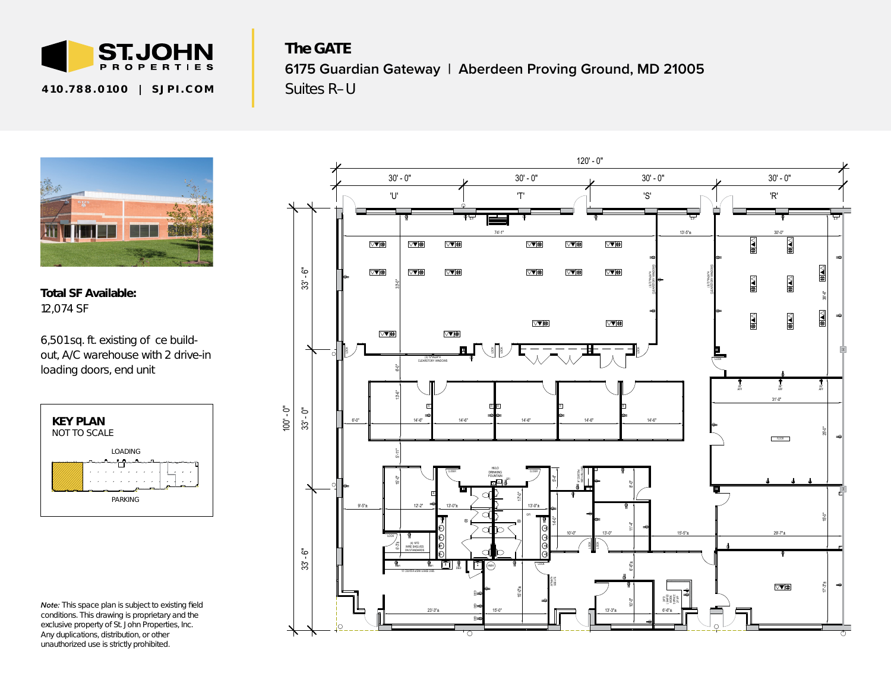

The GATE **6175 Guardian Gateway | Aberdeen Proving Ground, MD 21005** 410.788.0100 | SJPI.COM | Suites R-U



Total SF Available: 12,074 SF

6,501 sq. ft. existing o ce build*out, A/C warehouse with 2 drive-in loading doors, end unit*



*Note: This space plan is subject to existing field conditions. This drawing is proprietary and the exclusive property of St. John Properties, Inc. Any duplications, distribution, or other unauthorized use is strictly prohibited.*